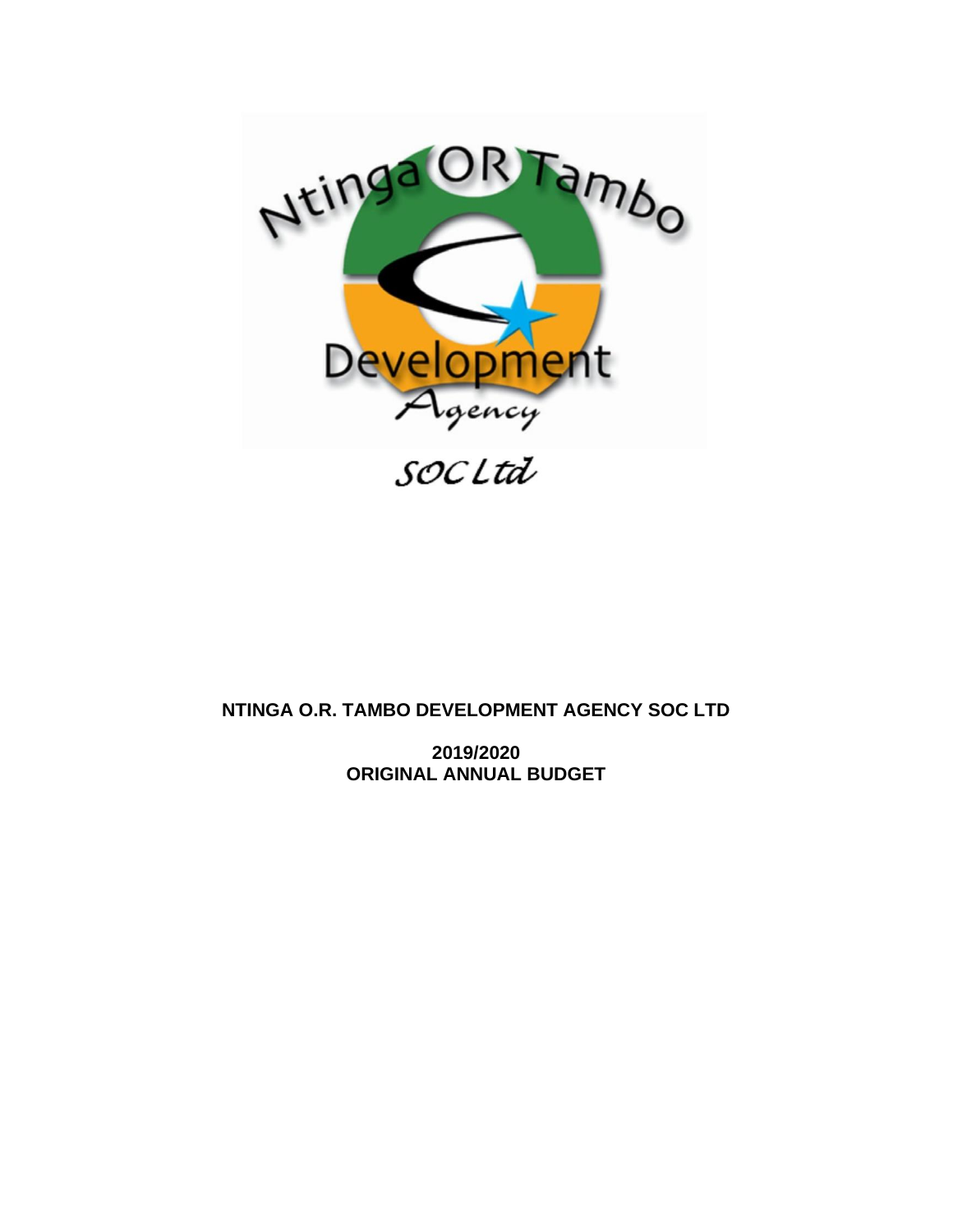

# **NTINGA O.R. TAMBO DEVELOPMENT AGENCY SOC LTD**

**2019/2020 ORIGINAL ANNUAL BUDGET**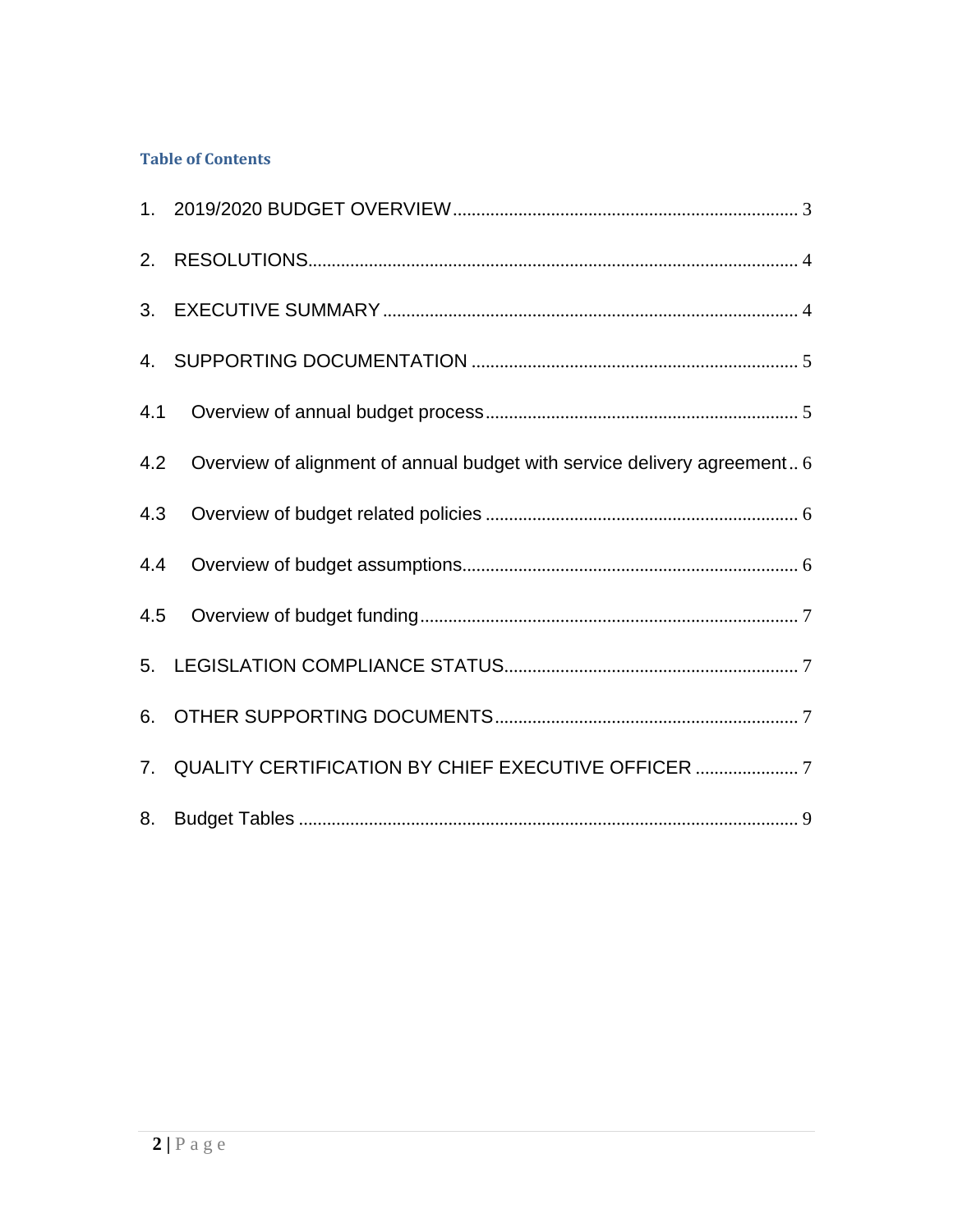# **Table of Contents**

| 4.2 Overview of alignment of annual budget with service delivery agreement 6 |
|------------------------------------------------------------------------------|
|                                                                              |
|                                                                              |
|                                                                              |
|                                                                              |
|                                                                              |
| 7. QUALITY CERTIFICATION BY CHIEF EXECUTIVE OFFICER  7                       |
|                                                                              |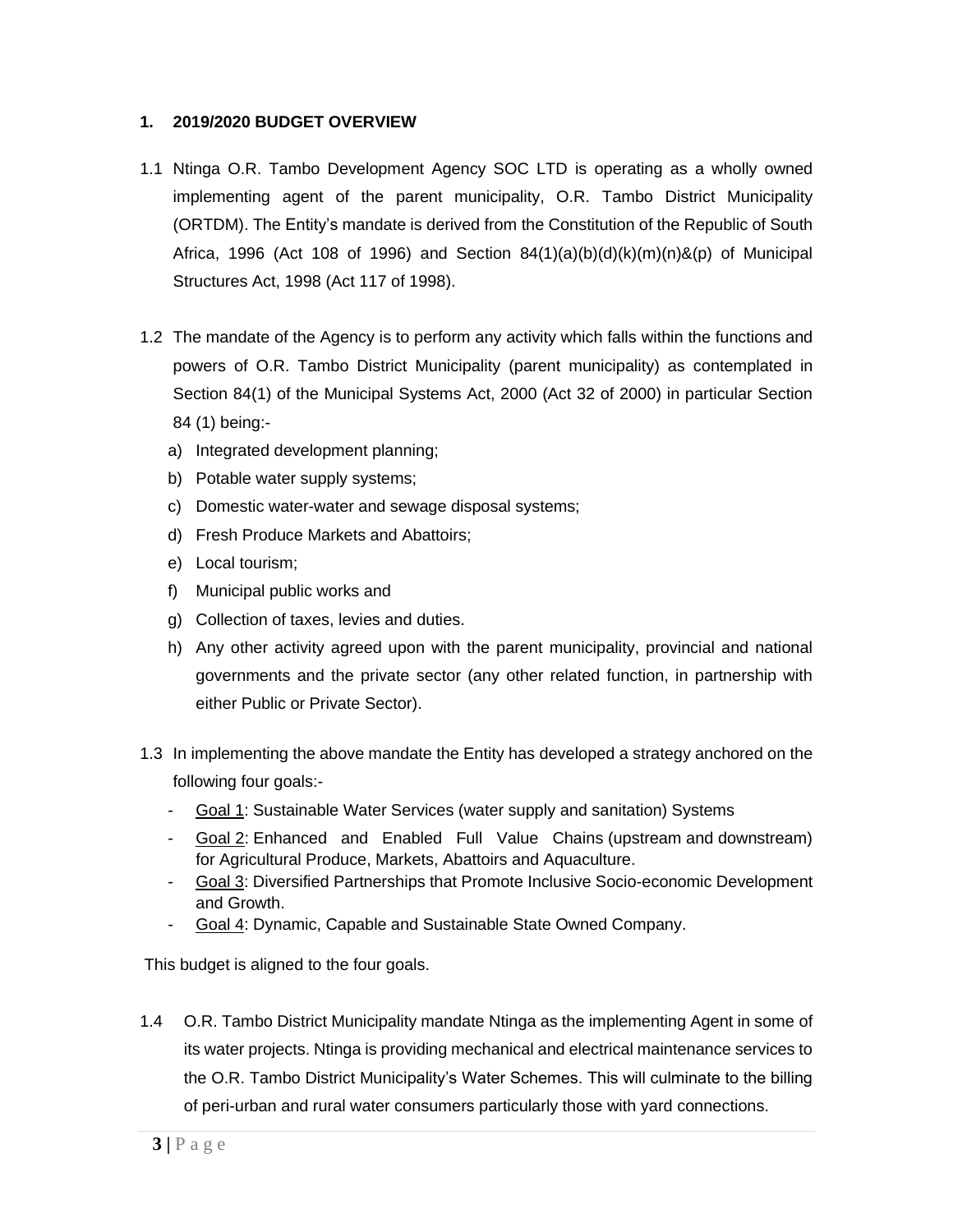#### <span id="page-2-0"></span>**1. 2019/2020 BUDGET OVERVIEW**

- 1.1 Ntinga O.R. Tambo Development Agency SOC LTD is operating as a wholly owned implementing agent of the parent municipality, O.R. Tambo District Municipality (ORTDM). The Entity's mandate is derived from the Constitution of the Republic of South Africa, 1996 (Act 108 of 1996) and Section  $84(1)(a)(b)(d)(k)(m)(n)$ &(p) of Municipal Structures Act, 1998 (Act 117 of 1998).
- 1.2 The mandate of the Agency is to perform any activity which falls within the functions and powers of O.R. Tambo District Municipality (parent municipality) as contemplated in Section 84(1) of the Municipal Systems Act, 2000 (Act 32 of 2000) in particular Section 84 (1) being:
	- a) Integrated development planning;
	- b) Potable water supply systems;
	- c) Domestic water-water and sewage disposal systems;
	- d) Fresh Produce Markets and Abattoirs;
	- e) Local tourism;
	- f) Municipal public works and
	- g) Collection of taxes, levies and duties.
	- h) Any other activity agreed upon with the parent municipality, provincial and national governments and the private sector (any other related function, in partnership with either Public or Private Sector).
- 1.3 In implementing the above mandate the Entity has developed a strategy anchored on the following four goals:-
	- Goal 1: Sustainable Water Services (water supply and sanitation) Systems
	- Goal 2: Enhanced and Enabled Full Value Chains (upstream and downstream) for Agricultural Produce, Markets, Abattoirs and Aquaculture.
	- Goal 3: Diversified Partnerships that Promote Inclusive Socio-economic Development and Growth.
	- Goal 4: Dynamic, Capable and Sustainable State Owned Company.

This budget is aligned to the four goals.

1.4 O.R. Tambo District Municipality mandate Ntinga as the implementing Agent in some of its water projects. Ntinga is providing mechanical and electrical maintenance services to the O.R. Tambo District Municipality's Water Schemes. This will culminate to the billing of peri-urban and rural water consumers particularly those with yard connections.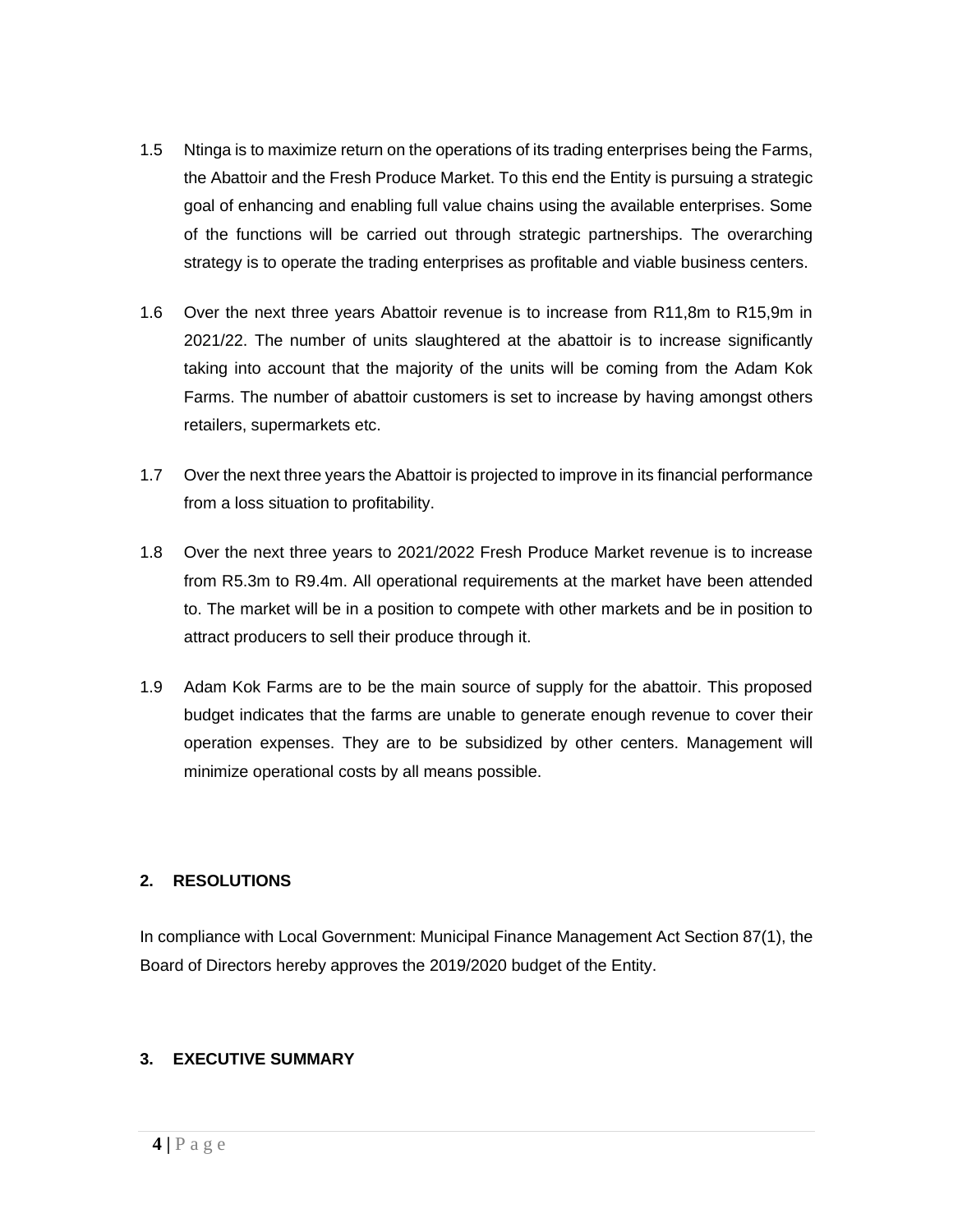- 1.5 Ntinga is to maximize return on the operations of its trading enterprises being the Farms, the Abattoir and the Fresh Produce Market. To this end the Entity is pursuing a strategic goal of enhancing and enabling full value chains using the available enterprises. Some of the functions will be carried out through strategic partnerships. The overarching strategy is to operate the trading enterprises as profitable and viable business centers.
- 1.6 Over the next three years Abattoir revenue is to increase from R11,8m to R15,9m in 2021/22. The number of units slaughtered at the abattoir is to increase significantly taking into account that the majority of the units will be coming from the Adam Kok Farms. The number of abattoir customers is set to increase by having amongst others retailers, supermarkets etc.
- 1.7 Over the next three years the Abattoir is projected to improve in its financial performance from a loss situation to profitability.
- 1.8 Over the next three years to 2021/2022 Fresh Produce Market revenue is to increase from R5.3m to R9.4m. All operational requirements at the market have been attended to. The market will be in a position to compete with other markets and be in position to attract producers to sell their produce through it.
- 1.9 Adam Kok Farms are to be the main source of supply for the abattoir. This proposed budget indicates that the farms are unable to generate enough revenue to cover their operation expenses. They are to be subsidized by other centers. Management will minimize operational costs by all means possible.

#### <span id="page-3-0"></span>**2. RESOLUTIONS**

In compliance with Local Government: Municipal Finance Management Act Section 87(1), the Board of Directors hereby approves the 2019/2020 budget of the Entity.

#### <span id="page-3-1"></span>**3. EXECUTIVE SUMMARY**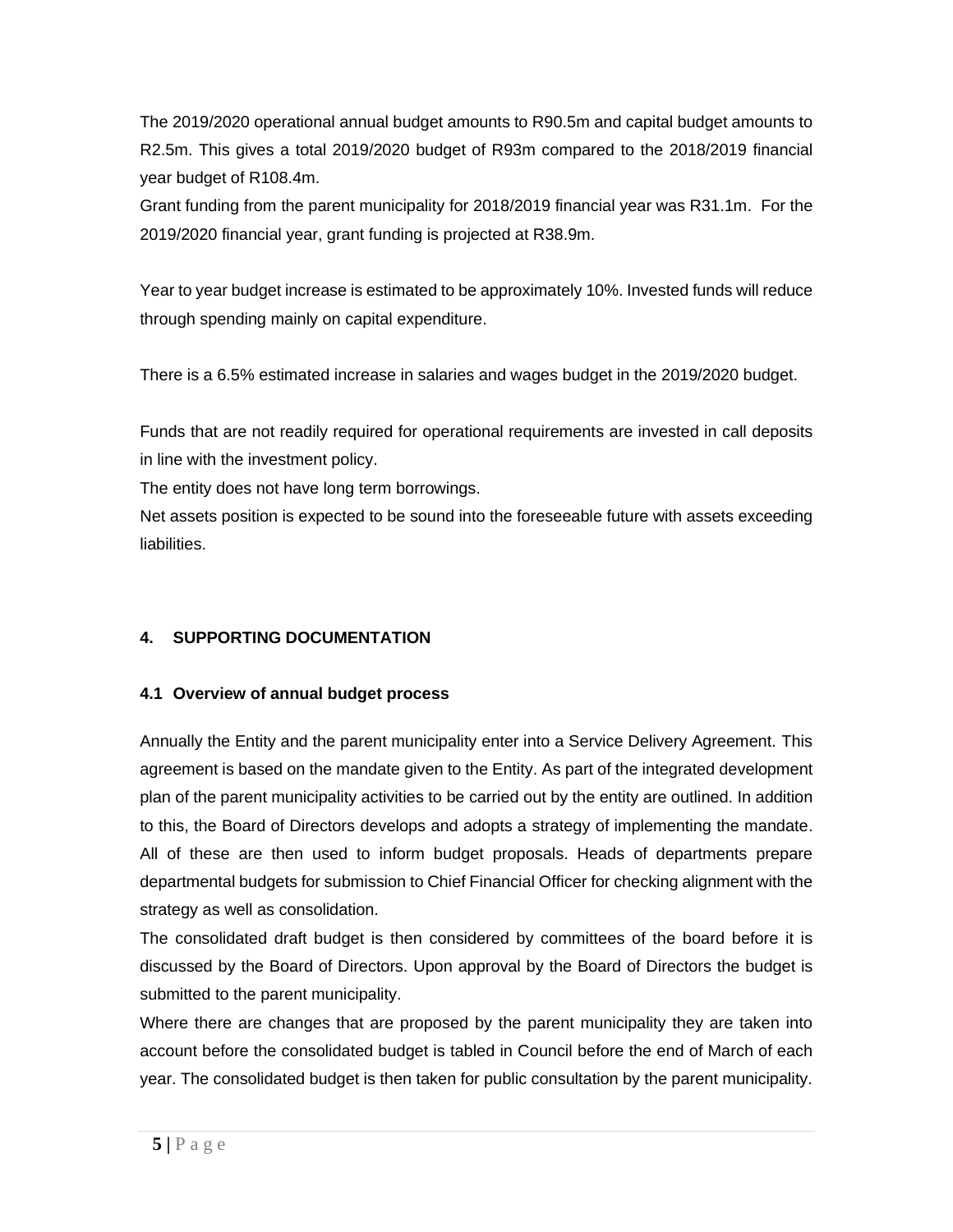The 2019/2020 operational annual budget amounts to R90.5m and capital budget amounts to R2.5m. This gives a total 2019/2020 budget of R93m compared to the 2018/2019 financial year budget of R108.4m.

Grant funding from the parent municipality for 2018/2019 financial year was R31.1m. For the 2019/2020 financial year, grant funding is projected at R38.9m.

Year to year budget increase is estimated to be approximately 10%. Invested funds will reduce through spending mainly on capital expenditure.

There is a 6.5% estimated increase in salaries and wages budget in the 2019/2020 budget.

Funds that are not readily required for operational requirements are invested in call deposits in line with the investment policy.

The entity does not have long term borrowings.

Net assets position is expected to be sound into the foreseeable future with assets exceeding liabilities.

### <span id="page-4-1"></span><span id="page-4-0"></span>**4. SUPPORTING DOCUMENTATION**

#### **4.1 Overview of annual budget process**

Annually the Entity and the parent municipality enter into a Service Delivery Agreement. This agreement is based on the mandate given to the Entity. As part of the integrated development plan of the parent municipality activities to be carried out by the entity are outlined. In addition to this, the Board of Directors develops and adopts a strategy of implementing the mandate. All of these are then used to inform budget proposals. Heads of departments prepare departmental budgets for submission to Chief Financial Officer for checking alignment with the strategy as well as consolidation.

The consolidated draft budget is then considered by committees of the board before it is discussed by the Board of Directors. Upon approval by the Board of Directors the budget is submitted to the parent municipality.

Where there are changes that are proposed by the parent municipality they are taken into account before the consolidated budget is tabled in Council before the end of March of each year. The consolidated budget is then taken for public consultation by the parent municipality.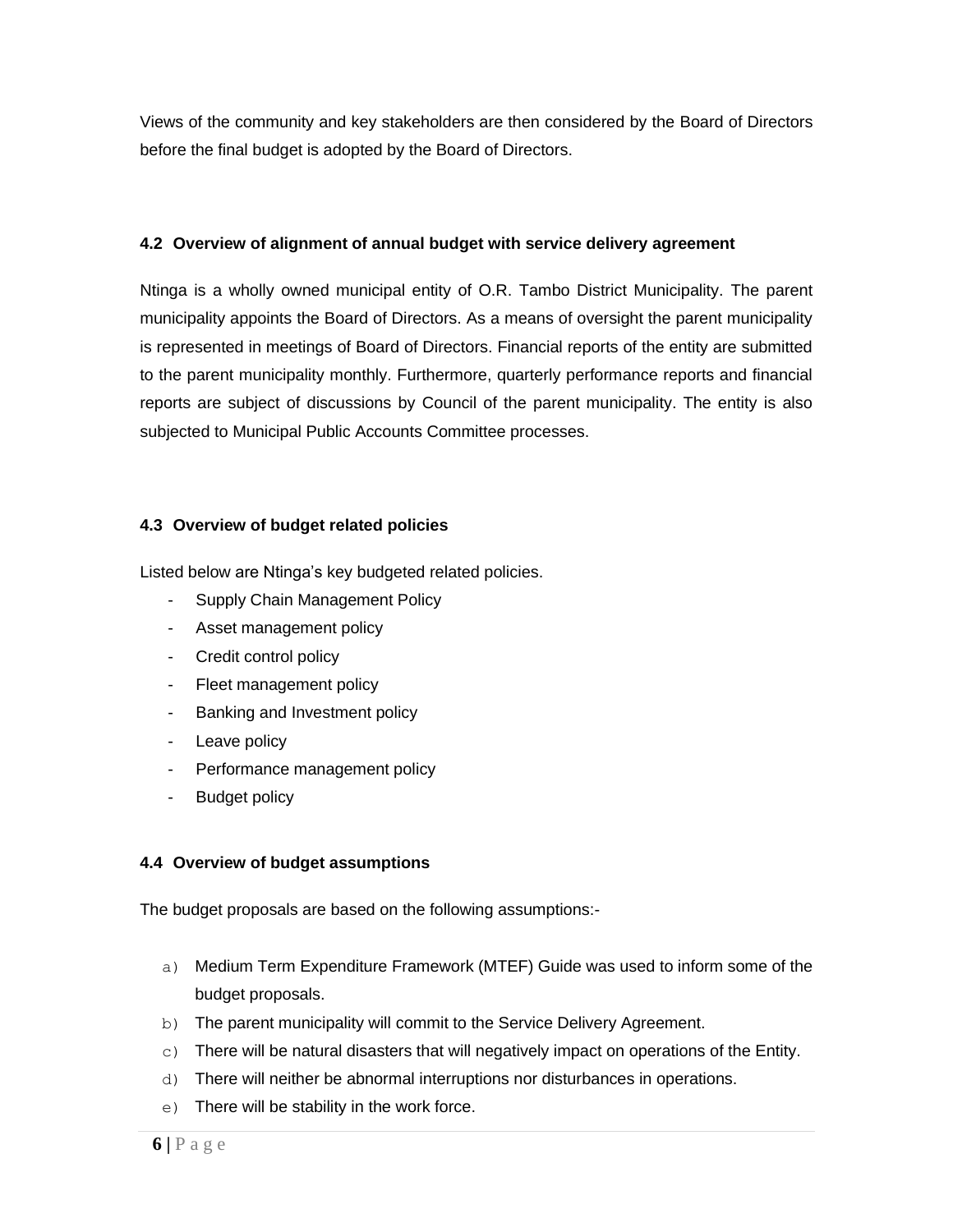Views of the community and key stakeholders are then considered by the Board of Directors before the final budget is adopted by the Board of Directors.

#### <span id="page-5-0"></span>**4.2 Overview of alignment of annual budget with service delivery agreement**

Ntinga is a wholly owned municipal entity of O.R. Tambo District Municipality. The parent municipality appoints the Board of Directors. As a means of oversight the parent municipality is represented in meetings of Board of Directors. Financial reports of the entity are submitted to the parent municipality monthly. Furthermore, quarterly performance reports and financial reports are subject of discussions by Council of the parent municipality. The entity is also subjected to Municipal Public Accounts Committee processes.

#### <span id="page-5-1"></span>**4.3 Overview of budget related policies**

Listed below are Ntinga's key budgeted related policies.

- Supply Chain Management Policy
- Asset management policy
- Credit control policy
- Fleet management policy
- Banking and Investment policy
- Leave policy
- Performance management policy
- Budget policy

#### <span id="page-5-2"></span>**4.4 Overview of budget assumptions**

The budget proposals are based on the following assumptions:-

- a) Medium Term Expenditure Framework (MTEF) Guide was used to inform some of the budget proposals.
- b) The parent municipality will commit to the Service Delivery Agreement.
- $\infty$ ) There will be natural disasters that will negatively impact on operations of the Entity.
- d) There will neither be abnormal interruptions nor disturbances in operations.
- e) There will be stability in the work force.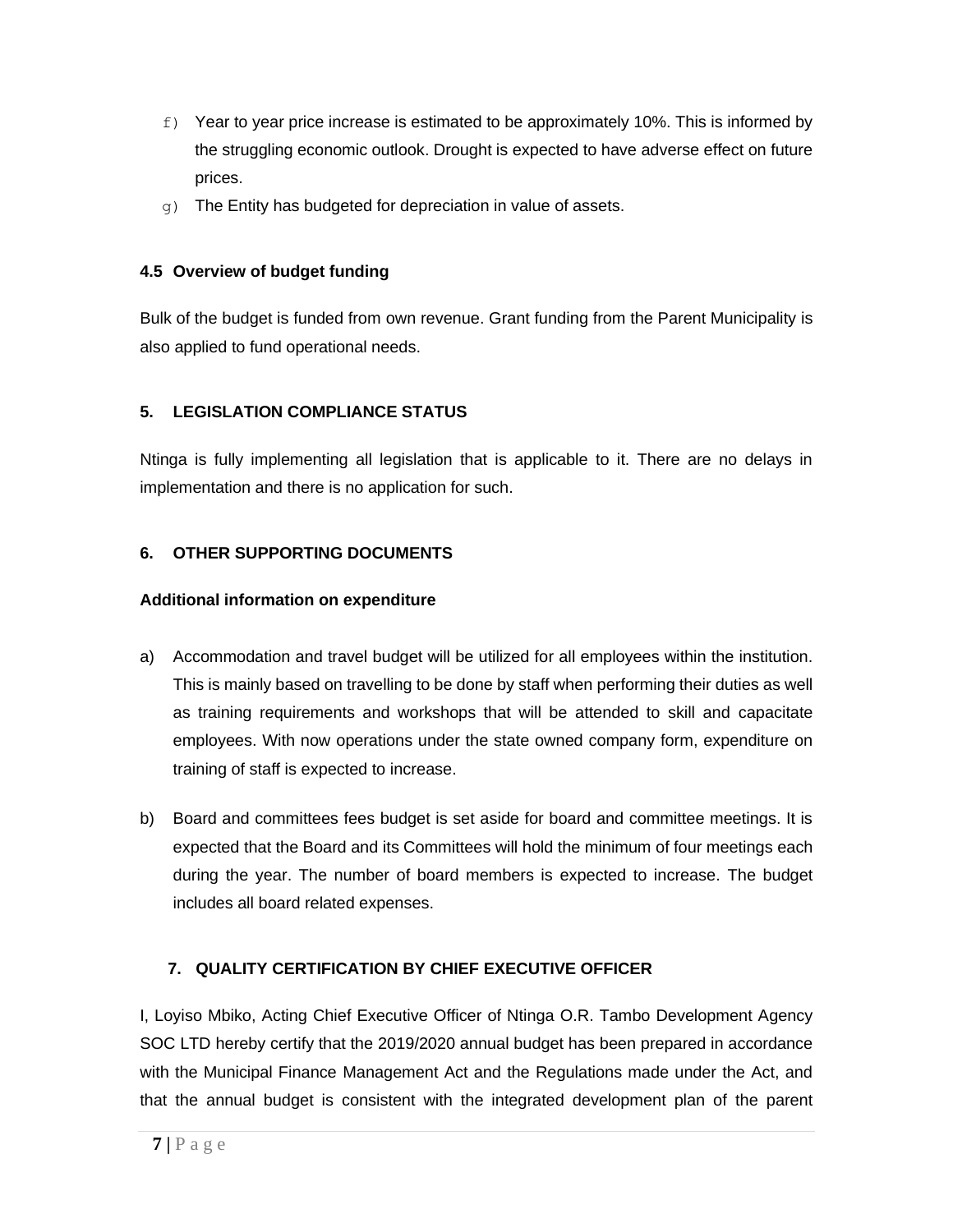- $f$ ) Year to year price increase is estimated to be approximately 10%. This is informed by the struggling economic outlook. Drought is expected to have adverse effect on future prices.
- $q$ ) The Entity has budgeted for depreciation in value of assets.

#### <span id="page-6-0"></span>**4.5 Overview of budget funding**

Bulk of the budget is funded from own revenue. Grant funding from the Parent Municipality is also applied to fund operational needs.

#### <span id="page-6-1"></span>**5. LEGISLATION COMPLIANCE STATUS**

Ntinga is fully implementing all legislation that is applicable to it. There are no delays in implementation and there is no application for such.

#### <span id="page-6-2"></span>**6. OTHER SUPPORTING DOCUMENTS**

#### **Additional information on expenditure**

- a) Accommodation and travel budget will be utilized for all employees within the institution. This is mainly based on travelling to be done by staff when performing their duties as well as training requirements and workshops that will be attended to skill and capacitate employees. With now operations under the state owned company form, expenditure on training of staff is expected to increase.
- b) Board and committees fees budget is set aside for board and committee meetings. It is expected that the Board and its Committees will hold the minimum of four meetings each during the year. The number of board members is expected to increase. The budget includes all board related expenses.

### <span id="page-6-3"></span>**7. QUALITY CERTIFICATION BY CHIEF EXECUTIVE OFFICER**

I, Loyiso Mbiko, Acting Chief Executive Officer of Ntinga O.R. Tambo Development Agency SOC LTD hereby certify that the 2019/2020 annual budget has been prepared in accordance with the Municipal Finance Management Act and the Regulations made under the Act, and that the annual budget is consistent with the integrated development plan of the parent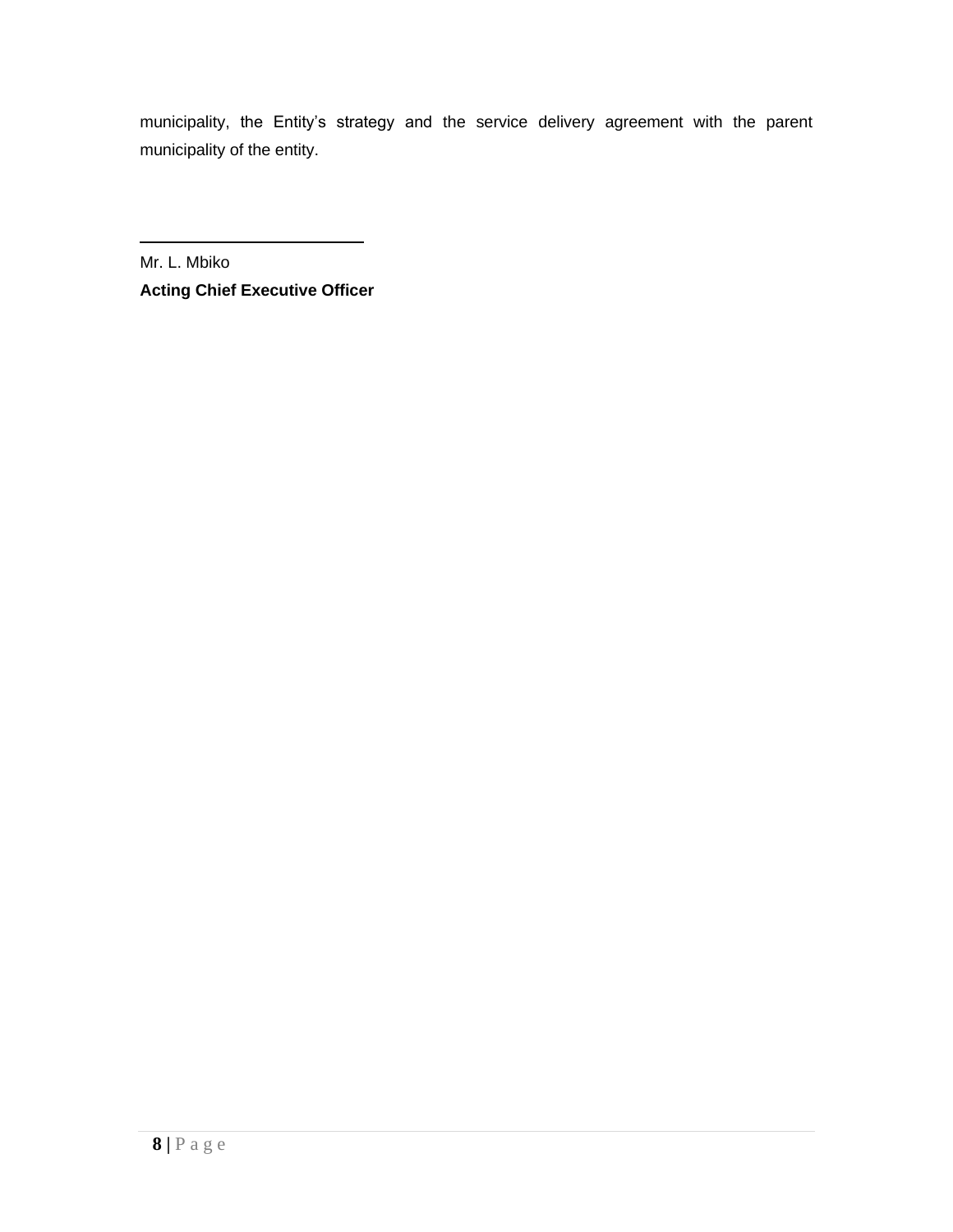municipality, the Entity's strategy and the service delivery agreement with the parent municipality of the entity.

Mr. L. Mbiko **Acting Chief Executive Officer**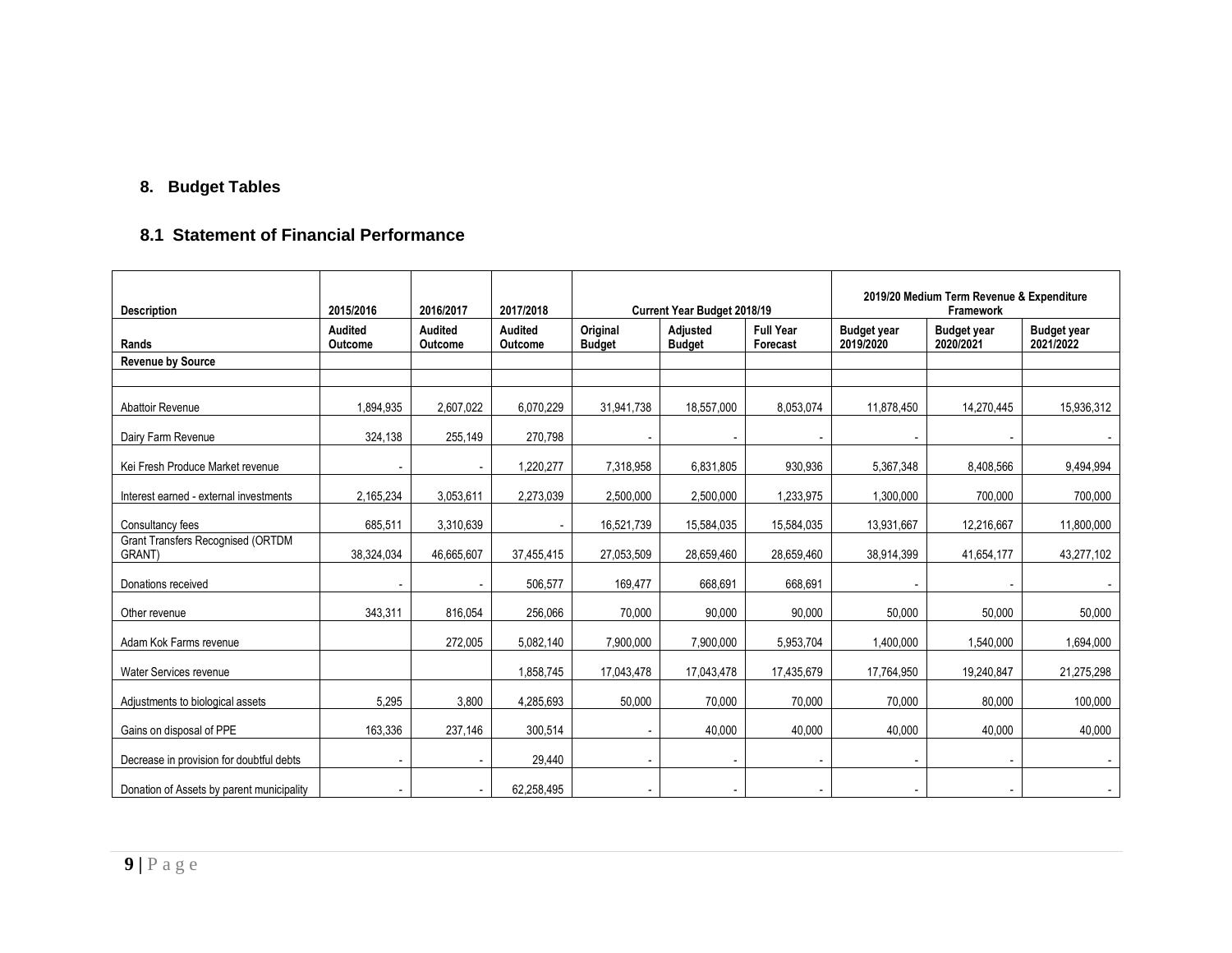## **8. Budget Tables**

## **8.1 Statement of Financial Performance**

<span id="page-8-0"></span>

| <b>Description</b>                                 | 2015/2016                 | 2016/2017                 | 2017/2018                        |                           | Current Year Budget 2018/19 |                              | 2019/20 Medium Term Revenue & Expenditure<br>Framework |                                 |                                 |
|----------------------------------------------------|---------------------------|---------------------------|----------------------------------|---------------------------|-----------------------------|------------------------------|--------------------------------------------------------|---------------------------------|---------------------------------|
| Rands                                              | <b>Audited</b><br>Outcome | <b>Audited</b><br>Outcome | <b>Audited</b><br><b>Outcome</b> | Original<br><b>Budget</b> | Adjusted<br><b>Budget</b>   | <b>Full Year</b><br>Forecast | <b>Budget year</b><br>2019/2020                        | <b>Budget year</b><br>2020/2021 | <b>Budget year</b><br>2021/2022 |
| <b>Revenue by Source</b>                           |                           |                           |                                  |                           |                             |                              |                                                        |                                 |                                 |
|                                                    |                           |                           |                                  |                           |                             |                              |                                                        |                                 |                                 |
| Abattoir Revenue                                   | 1,894,935                 | 2,607,022                 | 6,070,229                        | 31,941,738                | 18,557,000                  | 8,053,074                    | 11,878,450                                             | 14,270,445                      | 15,936,312                      |
| Dairy Farm Revenue                                 | 324,138                   | 255,149                   | 270,798                          |                           |                             |                              |                                                        |                                 |                                 |
| Kei Fresh Produce Market revenue                   |                           |                           | 1,220,277                        | 7,318,958                 | 6,831,805                   | 930,936                      | 5,367,348                                              | 8,408,566                       | 9,494,994                       |
| Interest earned - external investments             | 2,165,234                 | 3,053,611                 | 2,273,039                        | 2,500,000                 | 2,500,000                   | 1,233,975                    | 1,300,000                                              | 700,000                         | 700,000                         |
| Consultancy fees                                   | 685,511                   | 3,310,639                 | $\overline{\phantom{a}}$         | 16,521,739                | 15,584,035                  | 15,584,035                   | 13,931,667                                             | 12,216,667                      | 11,800,000                      |
| <b>Grant Transfers Recognised (ORTDM</b><br>GRANT) | 38,324,034                | 46,665,607                | 37,455,415                       | 27,053,509                | 28,659,460                  | 28,659,460                   | 38,914,399                                             | 41,654,177                      | 43,277,102                      |
| Donations received                                 |                           |                           | 506,577                          | 169,477                   | 668,691                     | 668,691                      |                                                        |                                 |                                 |
| Other revenue                                      | 343,311                   | 816,054                   | 256,066                          | 70,000                    | 90,000                      | 90,000                       | 50,000                                                 | 50,000                          | 50,000                          |
| Adam Kok Farms revenue                             |                           | 272,005                   | 5,082,140                        | 7,900,000                 | 7,900,000                   | 5,953,704                    | 1,400,000                                              | 1,540,000                       | 1,694,000                       |
| Water Services revenue                             |                           |                           | 1,858,745                        | 17,043,478                | 17,043,478                  | 17,435,679                   | 17,764,950                                             | 19,240,847                      | 21,275,298                      |
| Adjustments to biological assets                   | 5,295                     | 3,800                     | 4,285,693                        | 50,000                    | 70,000                      | 70,000                       | 70,000                                                 | 80,000                          | 100,000                         |
| Gains on disposal of PPE                           | 163,336                   | 237,146                   | 300,514                          |                           | 40,000                      | 40,000                       | 40,000                                                 | 40,000                          | 40,000                          |
| Decrease in provision for doubtful debts           | $\overline{\phantom{a}}$  |                           | 29,440                           |                           |                             |                              |                                                        |                                 |                                 |
| Donation of Assets by parent municipality          |                           |                           | 62,258,495                       |                           |                             |                              |                                                        |                                 | $\overline{\phantom{a}}$        |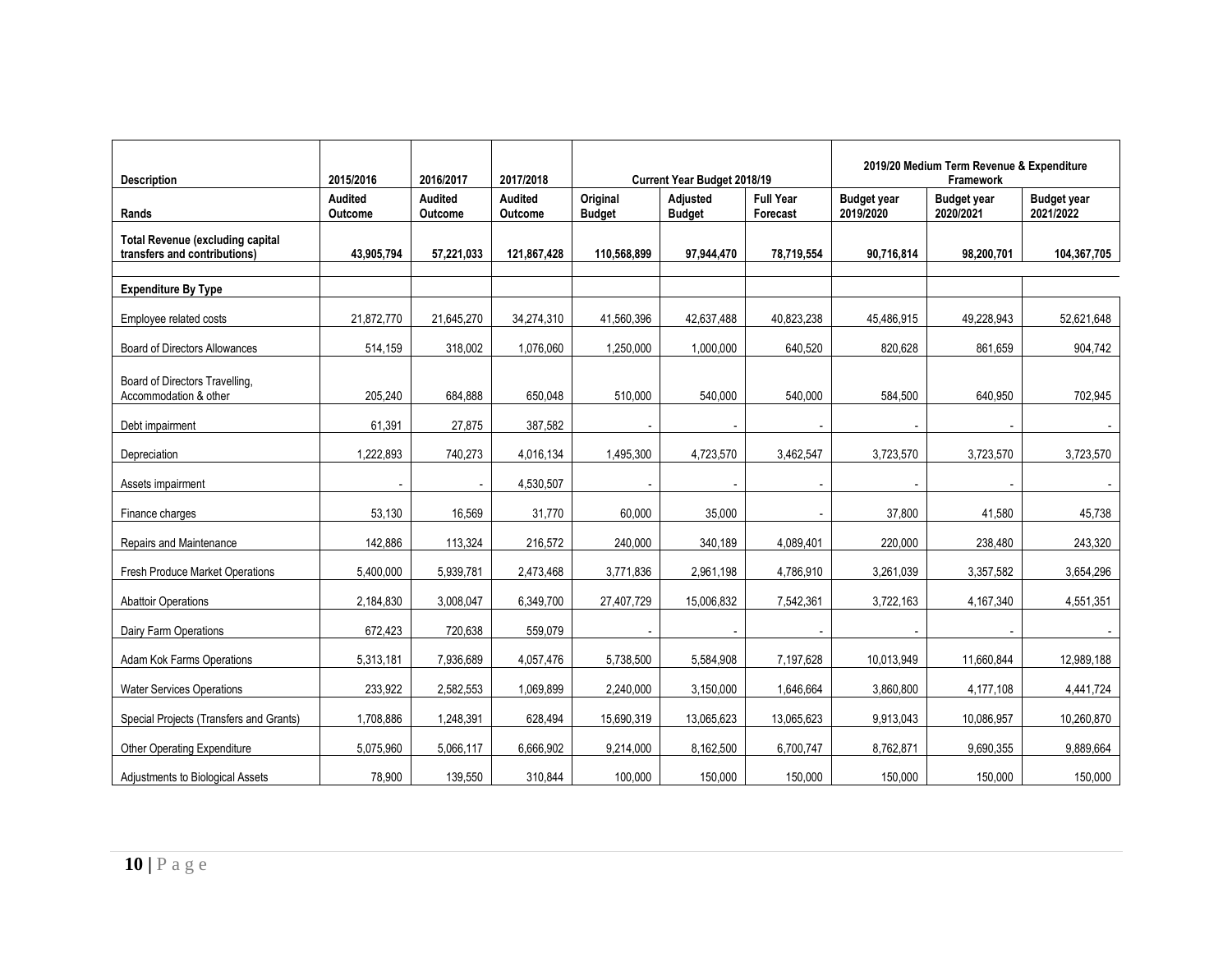| <b>Description</b>                                                      | 2015/2016                 | 2016/2017                 | 2017/2018                 |                           | <b>Current Year Budget 2018/19</b> |                              |                                 | 2019/20 Medium Term Revenue & Expenditure<br>Framework |                                 |  |  |
|-------------------------------------------------------------------------|---------------------------|---------------------------|---------------------------|---------------------------|------------------------------------|------------------------------|---------------------------------|--------------------------------------------------------|---------------------------------|--|--|
| Rands                                                                   | <b>Audited</b><br>Outcome | <b>Audited</b><br>Outcome | <b>Audited</b><br>Outcome | Original<br><b>Budget</b> | Adjusted<br><b>Budget</b>          | <b>Full Year</b><br>Forecast | <b>Budget year</b><br>2019/2020 | <b>Budget year</b><br>2020/2021                        | <b>Budget year</b><br>2021/2022 |  |  |
| <b>Total Revenue (excluding capital</b><br>transfers and contributions) | 43,905,794                | 57,221,033                | 121,867,428               | 110,568,899               | 97,944,470                         | 78,719,554                   | 90,716,814                      | 98,200,701                                             | 104,367,705                     |  |  |
| <b>Expenditure By Type</b>                                              |                           |                           |                           |                           |                                    |                              |                                 |                                                        |                                 |  |  |
| Employee related costs                                                  | 21,872,770                | 21,645,270                | 34,274,310                | 41,560,396                | 42,637,488                         | 40,823,238                   | 45,486,915                      | 49,228,943                                             | 52,621,648                      |  |  |
| <b>Board of Directors Allowances</b>                                    | 514,159                   | 318,002                   | 1,076,060                 | 1,250,000                 | 1,000,000                          | 640,520                      | 820,628                         | 861,659                                                | 904,742                         |  |  |
| Board of Directors Travelling,<br>Accommodation & other                 | 205,240                   | 684,888                   | 650,048                   | 510,000                   | 540,000                            | 540,000                      | 584,500                         | 640,950                                                | 702,945                         |  |  |
| Debt impairment                                                         | 61,391                    | 27,875                    | 387,582                   |                           |                                    |                              |                                 |                                                        |                                 |  |  |
| Depreciation                                                            | 1.222.893                 | 740,273                   | 4,016,134                 | 1,495,300                 | 4,723,570                          | 3,462,547                    | 3,723,570                       | 3,723,570                                              | 3,723,570                       |  |  |
| Assets impairment                                                       |                           |                           | 4,530,507                 |                           |                                    |                              |                                 |                                                        |                                 |  |  |
| Finance charges                                                         | 53,130                    | 16,569                    | 31,770                    | 60,000                    | 35,000                             |                              | 37,800                          | 41,580                                                 | 45,738                          |  |  |
| Repairs and Maintenance                                                 | 142,886                   | 113,324                   | 216,572                   | 240,000                   | 340,189                            | 4,089,401                    | 220,000                         | 238,480                                                | 243,320                         |  |  |
| <b>Fresh Produce Market Operations</b>                                  | 5,400,000                 | 5,939,781                 | 2,473,468                 | 3,771,836                 | 2,961,198                          | 4,786,910                    | 3,261,039                       | 3,357,582                                              | 3,654,296                       |  |  |
| <b>Abattoir Operations</b>                                              | 2,184,830                 | 3,008,047                 | 6,349,700                 | 27,407,729                | 15,006,832                         | 7,542,361                    | 3,722,163                       | 4,167,340                                              | 4,551,351                       |  |  |
| Dairy Farm Operations                                                   | 672.423                   | 720,638                   | 559,079                   |                           |                                    |                              |                                 |                                                        |                                 |  |  |
| Adam Kok Farms Operations                                               | 5,313,181                 | 7,936,689                 | 4,057,476                 | 5,738,500                 | 5,584,908                          | 7,197,628                    | 10,013,949                      | 11,660,844                                             | 12,989,188                      |  |  |
| <b>Water Services Operations</b>                                        | 233,922                   | 2,582,553                 | 1,069,899                 | 2,240,000                 | 3,150,000                          | 1,646,664                    | 3,860,800                       | 4,177,108                                              | 4,441,724                       |  |  |
| Special Projects (Transfers and Grants)                                 | 1,708,886                 | 1,248,391                 | 628,494                   | 15,690,319                | 13,065,623                         | 13,065,623                   | 9,913,043                       | 10,086,957                                             | 10,260,870                      |  |  |
| Other Operating Expenditure                                             | 5,075,960                 | 5,066,117                 | 6,666,902                 | 9,214,000                 | 8,162,500                          | 6,700,747                    | 8,762,871                       | 9,690,355                                              | 9,889,664                       |  |  |
| Adjustments to Biological Assets                                        | 78,900                    | 139,550                   | 310,844                   | 100,000                   | 150,000                            | 150,000                      | 150,000                         | 150,000                                                | 150,000                         |  |  |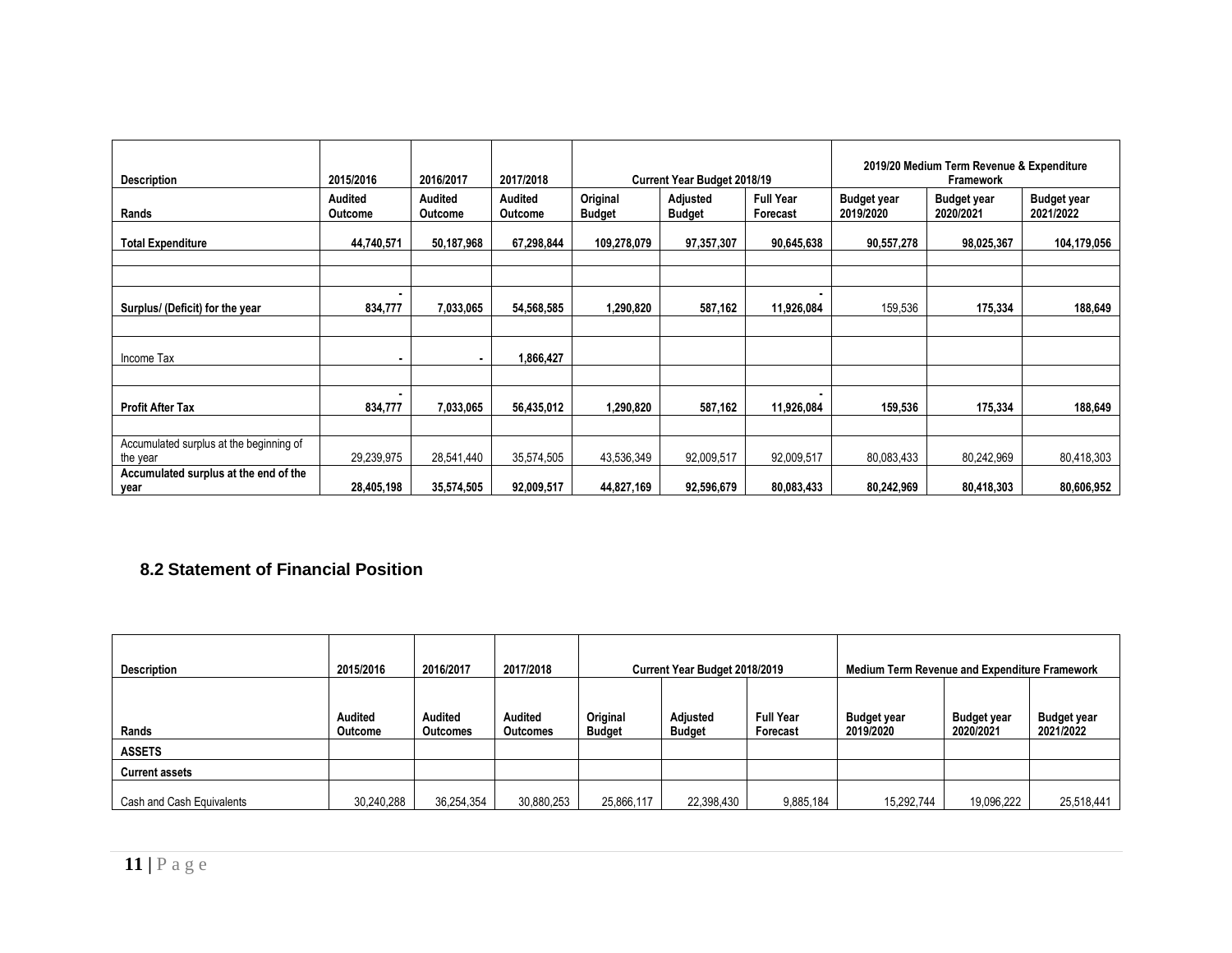| <b>Description</b>                                  | 2015/2016          | 2016/2017          | 2017/2018                 |                           | <b>Current Year Budget 2018/19</b> |                              | 2019/20 Medium Term Revenue & Expenditure<br>Framework |                                 |                                 |  |
|-----------------------------------------------------|--------------------|--------------------|---------------------------|---------------------------|------------------------------------|------------------------------|--------------------------------------------------------|---------------------------------|---------------------------------|--|
| Rands                                               | Audited<br>Outcome | Audited<br>Outcome | Audited<br><b>Outcome</b> | Original<br><b>Budget</b> | Adjusted<br><b>Budget</b>          | <b>Full Year</b><br>Forecast | <b>Budget year</b><br>2019/2020                        | <b>Budget year</b><br>2020/2021 | <b>Budget year</b><br>2021/2022 |  |
| <b>Total Expenditure</b>                            | 44,740,571         | 50,187,968         | 67,298,844                | 109,278,079               | 97,357,307                         | 90,645,638                   | 90,557,278                                             | 98,025,367                      | 104,179,056                     |  |
|                                                     |                    |                    |                           |                           |                                    |                              |                                                        |                                 |                                 |  |
| Surplus/ (Deficit) for the year                     | 834,777            | 7,033,065          | 54,568,585                | 1,290,820                 | 587,162                            | 11,926,084                   | 159,536                                                | 175,334                         | 188,649                         |  |
|                                                     |                    |                    |                           |                           |                                    |                              |                                                        |                                 |                                 |  |
| Income Tax                                          |                    | $\blacksquare$     | 1,866,427                 |                           |                                    |                              |                                                        |                                 |                                 |  |
|                                                     |                    |                    |                           |                           |                                    |                              |                                                        |                                 |                                 |  |
| <b>Profit After Tax</b>                             | 834,777            | 7,033,065          | 56,435,012                | 1,290,820                 | 587,162                            | 11,926,084                   | 159,536                                                | 175,334                         | 188,649                         |  |
|                                                     |                    |                    |                           |                           |                                    |                              |                                                        |                                 |                                 |  |
| Accumulated surplus at the beginning of<br>the year | 29,239,975         | 28,541,440         | 35,574,505                | 43,536,349                | 92,009,517                         | 92,009,517                   | 80,083,433                                             | 80,242,969                      | 80,418,303                      |  |
| Accumulated surplus at the end of the<br>year       | 28,405,198         | 35,574,505         | 92,009,517                | 44,827,169                | 92,596,679                         | 80,083,433                   | 80,242,969                                             | 80,418,303                      | 80,606,952                      |  |

# **8.2 Statement of Financial Position**

| <b>Description</b>        | 2015/2016                 | 2016/2017                  | 2017/2018                  | Current Year Budget 2018/2019                                                          |            |                                 | Medium Term Revenue and Expenditure Framework |                                 |            |  |
|---------------------------|---------------------------|----------------------------|----------------------------|----------------------------------------------------------------------------------------|------------|---------------------------------|-----------------------------------------------|---------------------------------|------------|--|
| Rands                     | <b>Audited</b><br>Outcome | Audited<br><b>Outcomes</b> | Audited<br><b>Outcomes</b> | Original<br><b>Full Year</b><br>Adjusted<br><b>Budget</b><br><b>Budget</b><br>Forecast |            | <b>Budget year</b><br>2019/2020 | <b>Budget year</b><br>2020/2021               | <b>Budget year</b><br>2021/2022 |            |  |
| <b>ASSETS</b>             |                           |                            |                            |                                                                                        |            |                                 |                                               |                                 |            |  |
| <b>Current assets</b>     |                           |                            |                            |                                                                                        |            |                                 |                                               |                                 |            |  |
| Cash and Cash Equivalents | 30,240,288                | 36,254,354                 | 30,880,253                 | 25,866,117                                                                             | 22,398,430 | 9,885,184                       | 15,292,744                                    | 19,096,222                      | 25,518,441 |  |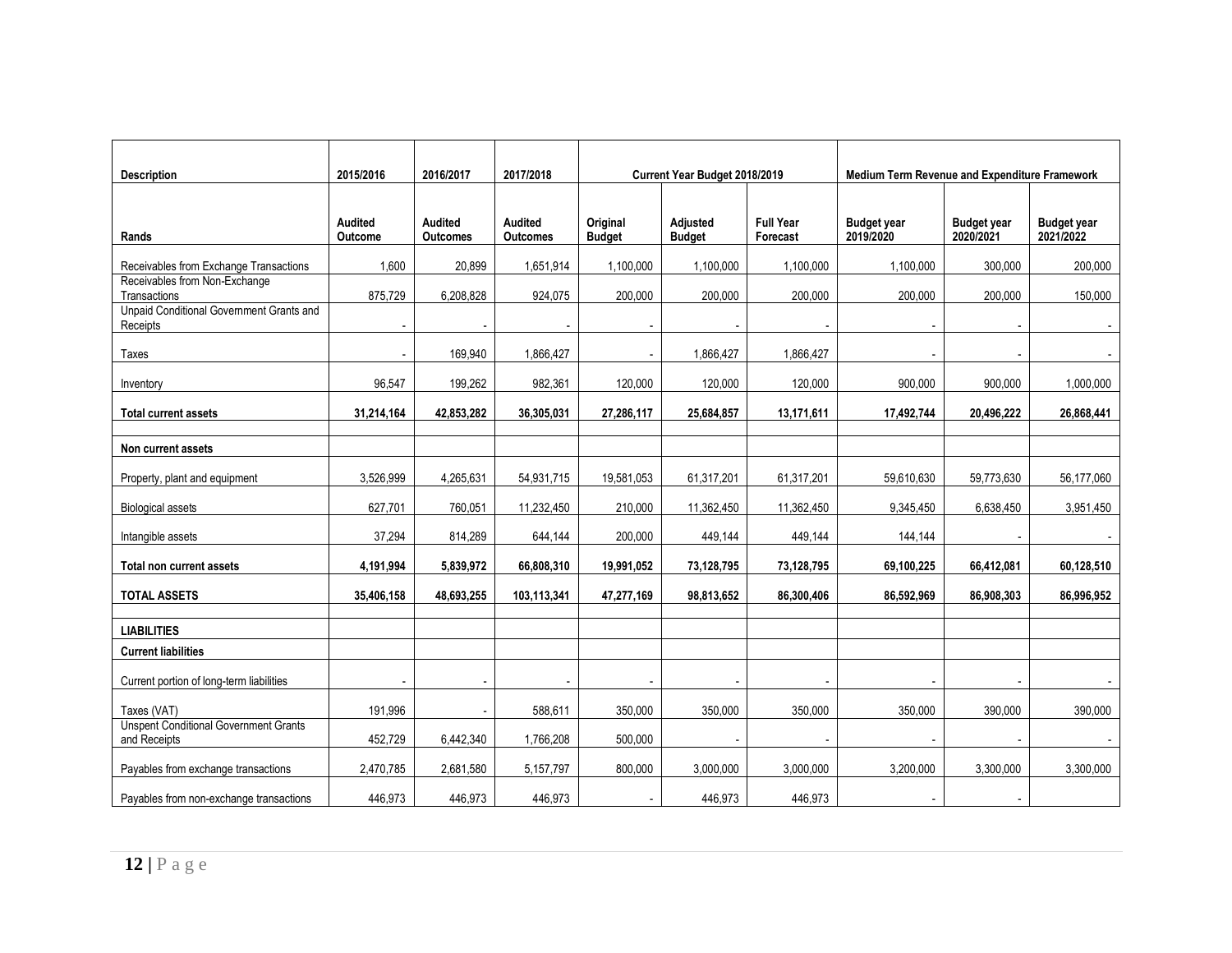|                                                              |                    |                                   |                                   |                           |                               |                              | Medium Term Revenue and Expenditure Framework |                                 |                                 |  |
|--------------------------------------------------------------|--------------------|-----------------------------------|-----------------------------------|---------------------------|-------------------------------|------------------------------|-----------------------------------------------|---------------------------------|---------------------------------|--|
| <b>Description</b>                                           | 2015/2016          | 2016/2017                         | 2017/2018                         |                           | Current Year Budget 2018/2019 |                              |                                               |                                 |                                 |  |
| Rands                                                        | Audited<br>Outcome | <b>Audited</b><br><b>Outcomes</b> | <b>Audited</b><br><b>Outcomes</b> | Original<br><b>Budget</b> | Adjusted<br><b>Budget</b>     | <b>Full Year</b><br>Forecast | <b>Budget year</b><br>2019/2020               | <b>Budget year</b><br>2020/2021 | <b>Budget year</b><br>2021/2022 |  |
| Receivables from Exchange Transactions                       | 1,600              | 20,899                            | 1,651,914                         | 1,100,000                 | 1,100,000                     | 1,100,000                    | 1,100,000                                     | 300,000                         | 200,000                         |  |
| Receivables from Non-Exchange<br>Transactions                | 875,729            | 6,208,828                         | 924,075                           | 200,000                   | 200,000                       | 200,000                      | 200,000                                       | 200,000                         | 150,000                         |  |
| Unpaid Conditional Government Grants and<br>Receipts         |                    |                                   |                                   |                           |                               |                              |                                               |                                 |                                 |  |
| Taxes                                                        |                    | 169,940                           | 1,866,427                         |                           | 1,866,427                     | 1,866,427                    |                                               |                                 |                                 |  |
| Inventory                                                    | 96,547             | 199,262                           | 982,361                           | 120,000                   | 120,000                       | 120,000                      | 900,000                                       | 900,000                         | 1,000,000                       |  |
| <b>Total current assets</b>                                  | 31,214,164         | 42,853,282                        | 36,305,031                        | 27,286,117                | 25,684,857                    | 13,171,611                   | 17,492,744                                    | 20,496,222                      | 26,868,441                      |  |
| Non current assets                                           |                    |                                   |                                   |                           |                               |                              |                                               |                                 |                                 |  |
| Property, plant and equipment                                | 3,526,999          | 4,265,631                         | 54,931,715                        | 19,581,053                | 61,317,201                    | 61,317,201                   | 59,610,630                                    | 59,773,630                      | 56,177,060                      |  |
| <b>Biological assets</b>                                     | 627,701            | 760,051                           | 11,232,450                        | 210,000                   | 11,362,450                    | 11,362,450                   | 9,345,450                                     | 6,638,450                       | 3,951,450                       |  |
| Intangible assets                                            | 37,294             | 814,289                           | 644,144                           | 200,000                   | 449,144                       | 449,144                      | 144,144                                       | $\sim$                          |                                 |  |
| Total non current assets                                     | 4,191,994          | 5,839,972                         | 66,808,310                        | 19,991,052                | 73,128,795                    | 73,128,795                   | 69,100,225                                    | 66,412,081                      | 60,128,510                      |  |
| <b>TOTAL ASSETS</b>                                          | 35,406,158         | 48.693.255                        | 103,113,341                       | 47,277,169                | 98,813,652                    | 86,300,406                   | 86.592.969                                    | 86,908,303                      | 86.996.952                      |  |
| <b>LIABILITIES</b>                                           |                    |                                   |                                   |                           |                               |                              |                                               |                                 |                                 |  |
| <b>Current liabilities</b>                                   |                    |                                   |                                   |                           |                               |                              |                                               |                                 |                                 |  |
| Current portion of long-term liabilities                     |                    | $\overline{\phantom{a}}$          |                                   |                           |                               |                              | $\blacksquare$                                |                                 |                                 |  |
| Taxes (VAT)                                                  | 191.996            |                                   | 588,611                           | 350.000                   | 350,000                       | 350.000                      | 350,000                                       | 390,000                         | 390.000                         |  |
| <b>Unspent Conditional Government Grants</b><br>and Receipts | 452.729            | 6,442,340                         | 1,766,208                         | 500.000                   |                               |                              |                                               |                                 |                                 |  |
| Payables from exchange transactions                          | 2,470,785          | 2,681,580                         | 5,157,797                         | 800,000                   | 3,000,000                     | 3,000,000                    | 3,200,000                                     | 3,300,000                       | 3.300.000                       |  |
| Payables from non-exchange transactions                      | 446,973            | 446,973                           | 446,973                           |                           | 446,973                       | 446,973                      |                                               | $\sim$                          |                                 |  |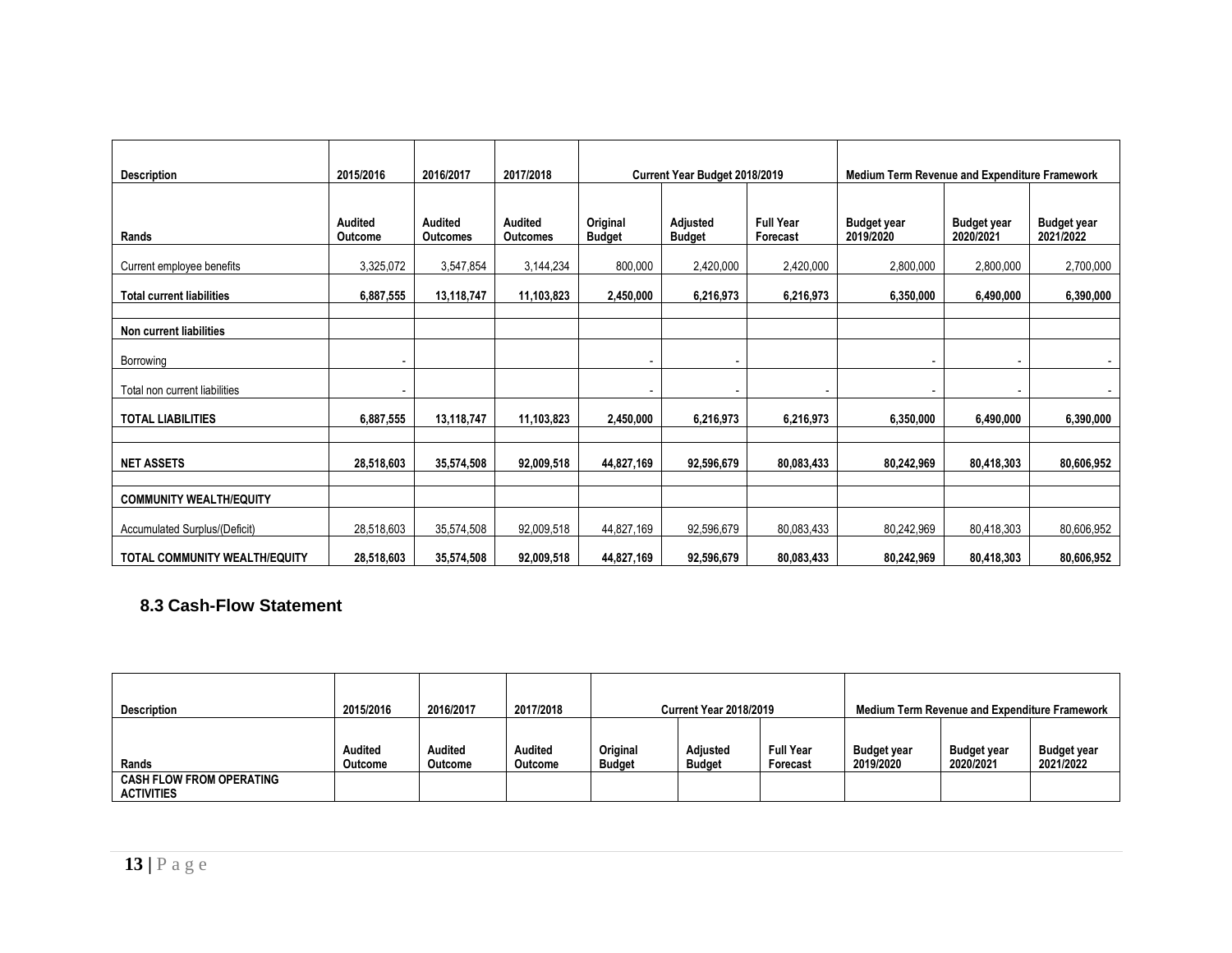| <b>Description</b>               | 2015/2016          | 2016/2017                  | 2017/2018                  |                           | Current Year Budget 2018/2019 |                              | Medium Term Revenue and Expenditure Framework |                                 |                                 |  |
|----------------------------------|--------------------|----------------------------|----------------------------|---------------------------|-------------------------------|------------------------------|-----------------------------------------------|---------------------------------|---------------------------------|--|
|                                  |                    |                            |                            |                           |                               |                              |                                               |                                 |                                 |  |
| Rands                            | Audited<br>Outcome | Audited<br><b>Outcomes</b> | <b>Audited</b><br>Outcomes | Original<br><b>Budget</b> | Adjusted<br><b>Budget</b>     | <b>Full Year</b><br>Forecast | <b>Budget year</b><br>2019/2020               | <b>Budget year</b><br>2020/2021 | <b>Budget year</b><br>2021/2022 |  |
| Current employee benefits        | 3,325,072          | 3,547,854                  | 3,144,234                  | 800,000                   | 2,420,000                     | 2,420,000                    | 2,800,000                                     | 2,800,000                       | 2,700,000                       |  |
| <b>Total current liabilities</b> | 6,887,555          | 13,118,747                 | 11,103,823                 | 2,450,000                 | 6,216,973                     | 6,216,973                    | 6,350,000                                     | 6,490,000                       | 6,390,000                       |  |
| Non current liabilities          |                    |                            |                            |                           |                               |                              |                                               |                                 |                                 |  |
| Borrowing                        |                    |                            |                            |                           | $\overline{\phantom{a}}$      |                              | ٠                                             |                                 |                                 |  |
| Total non current liabilities    |                    |                            |                            |                           |                               |                              |                                               |                                 |                                 |  |
| <b>TOTAL LIABILITIES</b>         | 6,887,555          | 13,118,747                 | 11,103,823                 | 2,450,000                 | 6,216,973                     | 6,216,973                    | 6,350,000                                     | 6,490,000                       | 6,390,000                       |  |
|                                  |                    |                            |                            |                           |                               |                              |                                               |                                 |                                 |  |
| <b>NET ASSETS</b>                | 28,518,603         | 35,574,508                 | 92,009,518                 | 44,827,169                | 92,596,679                    | 80,083,433                   | 80,242,969                                    | 80,418,303                      | 80,606,952                      |  |
| <b>COMMUNITY WEALTH/EQUITY</b>   |                    |                            |                            |                           |                               |                              |                                               |                                 |                                 |  |
| Accumulated Surplus/(Deficit)    | 28,518,603         | 35,574,508                 | 92,009,518                 | 44,827,169                | 92,596,679                    | 80,083,433                   | 80,242,969                                    | 80,418,303                      | 80,606,952                      |  |
| TOTAL COMMUNITY WEALTH/EQUITY    | 28,518,603         | 35,574,508                 | 92,009,518                 | 44,827,169                | 92,596,679                    | 80,083,433                   | 80,242,969                                    | 80,418,303                      | 80,606,952                      |  |

### **8.3 Cash-Flow Statement**

| <b>Description</b>                                   | 2015/2016          | 2016/2017          | 2017/2018          | <b>Current Year 2018/2019</b> |                           |                              | <b>Medium Term Revenue and Expenditure Framework</b> |                                 |                                 |  |
|------------------------------------------------------|--------------------|--------------------|--------------------|-------------------------------|---------------------------|------------------------------|------------------------------------------------------|---------------------------------|---------------------------------|--|
| Rands                                                | Audited<br>Outcome | Audited<br>Outcome | Audited<br>Outcome | Original<br>Budget            | Adjusted<br><b>Budget</b> | <b>Full Year</b><br>Forecast | <b>Budget year</b><br>2019/2020                      | <b>Budget year</b><br>2020/2021 | <b>Budget year</b><br>2021/2022 |  |
| <b>CASH FLOW FROM OPERATING</b><br><b>ACTIVITIES</b> |                    |                    |                    |                               |                           |                              |                                                      |                                 |                                 |  |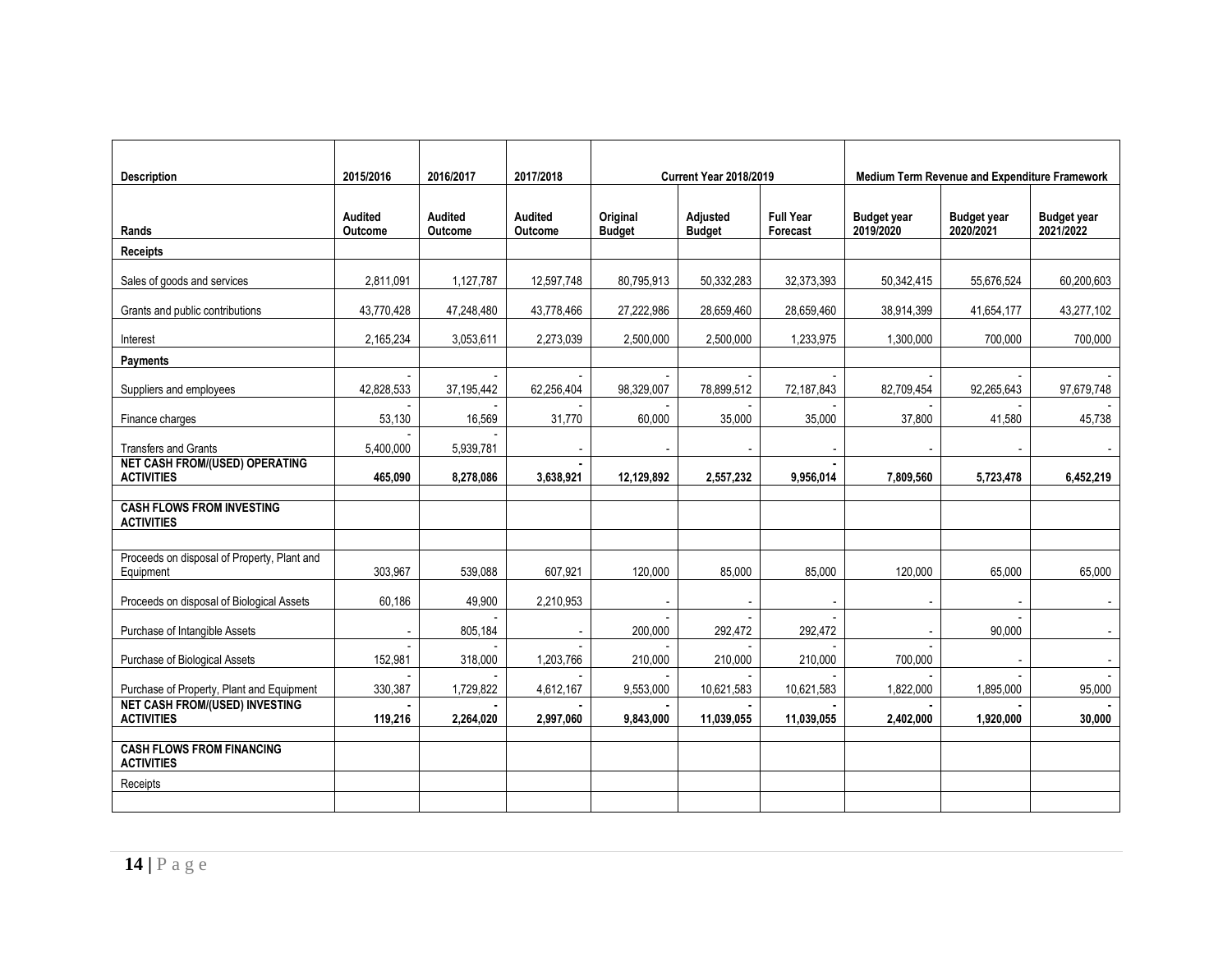| <b>Description</b>                                         | 2015/2016          | 2016/2017          | 2017/2018                 |                           | <b>Current Year 2018/2019</b> |                              |                                 | Medium Term Revenue and Expenditure Framework |                                 |
|------------------------------------------------------------|--------------------|--------------------|---------------------------|---------------------------|-------------------------------|------------------------------|---------------------------------|-----------------------------------------------|---------------------------------|
|                                                            |                    |                    |                           |                           |                               |                              |                                 |                                               |                                 |
| Rands                                                      | Audited<br>Outcome | Audited<br>Outcome | <b>Audited</b><br>Outcome | Original<br><b>Budget</b> | Adjusted<br><b>Budget</b>     | <b>Full Year</b><br>Forecast | <b>Budget year</b><br>2019/2020 | <b>Budget year</b><br>2020/2021               | <b>Budget year</b><br>2021/2022 |
| <b>Receipts</b>                                            |                    |                    |                           |                           |                               |                              |                                 |                                               |                                 |
| Sales of goods and services                                | 2.811.091          | 1,127,787          | 12,597,748                | 80,795,913                | 50,332,283                    | 32,373,393                   | 50.342.415                      | 55,676,524                                    | 60,200,603                      |
| Grants and public contributions                            | 43,770,428         | 47,248,480         | 43,778,466                | 27,222,986                | 28,659,460                    | 28,659,460                   | 38,914,399                      | 41,654,177                                    | 43,277,102                      |
| Interest                                                   | 2,165,234          | 3,053,611          | 2,273,039                 | 2,500,000                 | 2,500,000                     | 1,233,975                    | 1,300,000                       | 700,000                                       | 700,000                         |
| Payments                                                   |                    |                    |                           |                           |                               |                              |                                 |                                               |                                 |
| Suppliers and employees                                    | 42,828,533         | 37,195,442         | 62,256,404                | 98,329,007                | 78,899,512                    | 72,187,843                   | 82,709,454                      | 92,265,643                                    | 97,679,748                      |
| Finance charges                                            | 53,130             | 16,569             | 31,770                    | 60,000                    | 35,000                        | 35,000                       | 37,800                          | 41,580                                        | 45,738                          |
| <b>Transfers and Grants</b>                                | 5,400,000          | 5,939,781          |                           | $\blacksquare$            | $\overline{\phantom{a}}$      |                              | $\overline{\phantom{a}}$        |                                               |                                 |
| <b>NET CASH FROM/(USED) OPERATING</b><br><b>ACTIVITIES</b> | 465.090            | 8,278,086          | 3.638.921                 | 12,129,892                | 2,557,232                     | 9.956.014                    | 7.809.560                       | 5,723,478                                     | 6,452,219                       |
| <b>CASH FLOWS FROM INVESTING</b><br><b>ACTIVITIES</b>      |                    |                    |                           |                           |                               |                              |                                 |                                               |                                 |
| Proceeds on disposal of Property, Plant and<br>Equipment   | 303,967            | 539,088            | 607,921                   | 120,000                   | 85,000                        | 85,000                       | 120,000                         | 65,000                                        | 65,000                          |
| Proceeds on disposal of Biological Assets                  | 60,186             | 49,900             | 2,210,953                 | $\blacksquare$            |                               |                              | $\blacksquare$                  |                                               | $\sim$                          |
| Purchase of Intangible Assets                              |                    | 805,184            |                           | 200,000                   | 292,472                       | 292,472                      |                                 | 90,000                                        |                                 |
| Purchase of Biological Assets                              | 152,981            | 318,000            | 1,203,766                 | 210,000                   | 210,000                       | 210,000                      | 700,000                         |                                               |                                 |
| Purchase of Property, Plant and Equipment                  | 330,387            | 1,729,822          | 4,612,167                 | 9,553,000                 | 10,621,583                    | 10,621,583                   | 1,822,000                       | 1,895,000                                     | 95,000                          |
| <b>NET CASH FROM/(USED) INVESTING</b><br><b>ACTIVITIES</b> | 119,216            | 2,264,020          | 2,997,060                 | 9,843,000                 | 11,039,055                    | 11,039,055                   | 2,402,000                       | 1,920,000                                     | 30,000                          |
| <b>CASH FLOWS FROM FINANCING</b><br><b>ACTIVITIES</b>      |                    |                    |                           |                           |                               |                              |                                 |                                               |                                 |
| Receipts                                                   |                    |                    |                           |                           |                               |                              |                                 |                                               |                                 |
|                                                            |                    |                    |                           |                           |                               |                              |                                 |                                               |                                 |